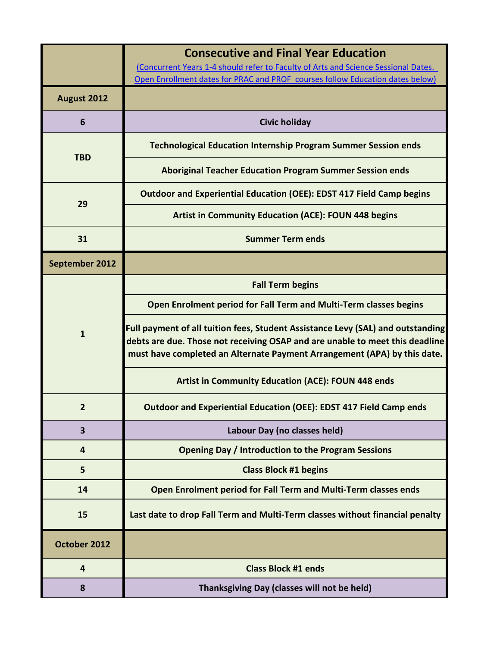|                | <b>Consecutive and Final Year Education</b><br>(Concurrent Years 1-4 should refer to Faculty of Arts and Science Sessional Dates.                                                                                                           |
|----------------|---------------------------------------------------------------------------------------------------------------------------------------------------------------------------------------------------------------------------------------------|
|                | Open Enrollment dates for PRAC and PROF courses follow Education dates below)                                                                                                                                                               |
| August 2012    |                                                                                                                                                                                                                                             |
| 6              | <b>Civic holiday</b>                                                                                                                                                                                                                        |
| <b>TBD</b>     | <b>Technological Education Internship Program Summer Session ends</b>                                                                                                                                                                       |
|                | <b>Aboriginal Teacher Education Program Summer Session ends</b>                                                                                                                                                                             |
| 29             | <b>Outdoor and Experiential Education (OEE): EDST 417 Field Camp begins</b>                                                                                                                                                                 |
|                | <b>Artist in Community Education (ACE): FOUN 448 begins</b>                                                                                                                                                                                 |
| 31             | <b>Summer Term ends</b>                                                                                                                                                                                                                     |
| September 2012 |                                                                                                                                                                                                                                             |
| $\mathbf{1}$   | <b>Fall Term begins</b>                                                                                                                                                                                                                     |
|                | Open Enrolment period for Fall Term and Multi-Term classes begins                                                                                                                                                                           |
|                | Full payment of all tuition fees, Student Assistance Levy (SAL) and outstanding<br>debts are due. Those not receiving OSAP and are unable to meet this deadline<br>must have completed an Alternate Payment Arrangement (APA) by this date. |
|                | <b>Artist in Community Education (ACE): FOUN 448 ends</b>                                                                                                                                                                                   |
|                | <b>Outdoor and Experiential Education (OEE): EDST 417 Field Camp ends</b>                                                                                                                                                                   |
| 3              | Labour Day (no classes held)                                                                                                                                                                                                                |
| 4              | <b>Opening Day / Introduction to the Program Sessions</b>                                                                                                                                                                                   |
| 5              | <b>Class Block #1 begins</b>                                                                                                                                                                                                                |
| 14             | Open Enrolment period for Fall Term and Multi-Term classes ends                                                                                                                                                                             |
| 15             | Last date to drop Fall Term and Multi-Term classes without financial penalty                                                                                                                                                                |
| October 2012   |                                                                                                                                                                                                                                             |
| 4              | <b>Class Block #1 ends</b>                                                                                                                                                                                                                  |
| 8              | Thanksgiving Day (classes will not be held)                                                                                                                                                                                                 |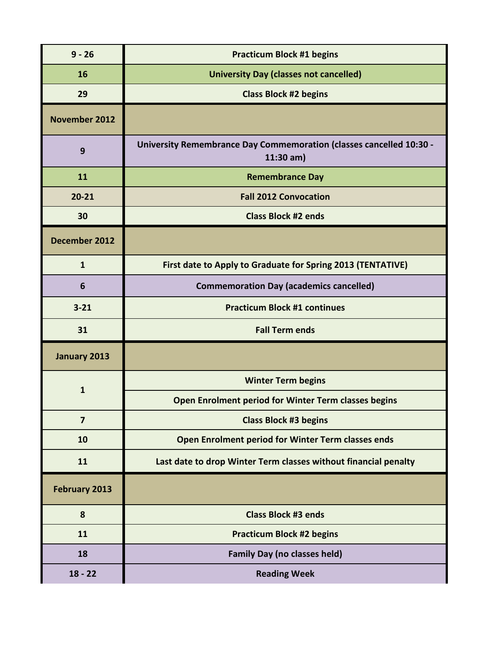| $9 - 26$             | <b>Practicum Block #1 begins</b>                                                          |
|----------------------|-------------------------------------------------------------------------------------------|
| 16                   | <b>University Day (classes not cancelled)</b>                                             |
| 29                   | <b>Class Block #2 begins</b>                                                              |
| <b>November 2012</b> |                                                                                           |
| 9                    | <b>University Remembrance Day Commemoration (classes cancelled 10:30 -</b><br>$11:30$ am) |
| 11                   | <b>Remembrance Day</b>                                                                    |
| $20 - 21$            | <b>Fall 2012 Convocation</b>                                                              |
| 30                   | <b>Class Block #2 ends</b>                                                                |
| December 2012        |                                                                                           |
| $\mathbf{1}$         | First date to Apply to Graduate for Spring 2013 (TENTATIVE)                               |
| 6                    | <b>Commemoration Day (academics cancelled)</b>                                            |
| $3 - 21$             | <b>Practicum Block #1 continues</b>                                                       |
| 31                   | <b>Fall Term ends</b>                                                                     |
| January 2013         |                                                                                           |
| $\mathbf{1}$         | <b>Winter Term begins</b>                                                                 |
|                      | Open Enrolment period for Winter Term classes begins                                      |
| $\overline{7}$       | <b>Class Block #3 begins</b>                                                              |
| 10                   | Open Enrolment period for Winter Term classes ends                                        |
| 11                   | Last date to drop Winter Term classes without financial penalty                           |
| <b>February 2013</b> |                                                                                           |
| 8                    | <b>Class Block #3 ends</b>                                                                |
| 11                   | <b>Practicum Block #2 begins</b>                                                          |
| 18                   | <b>Family Day (no classes held)</b>                                                       |
| $18 - 22$            | <b>Reading Week</b>                                                                       |